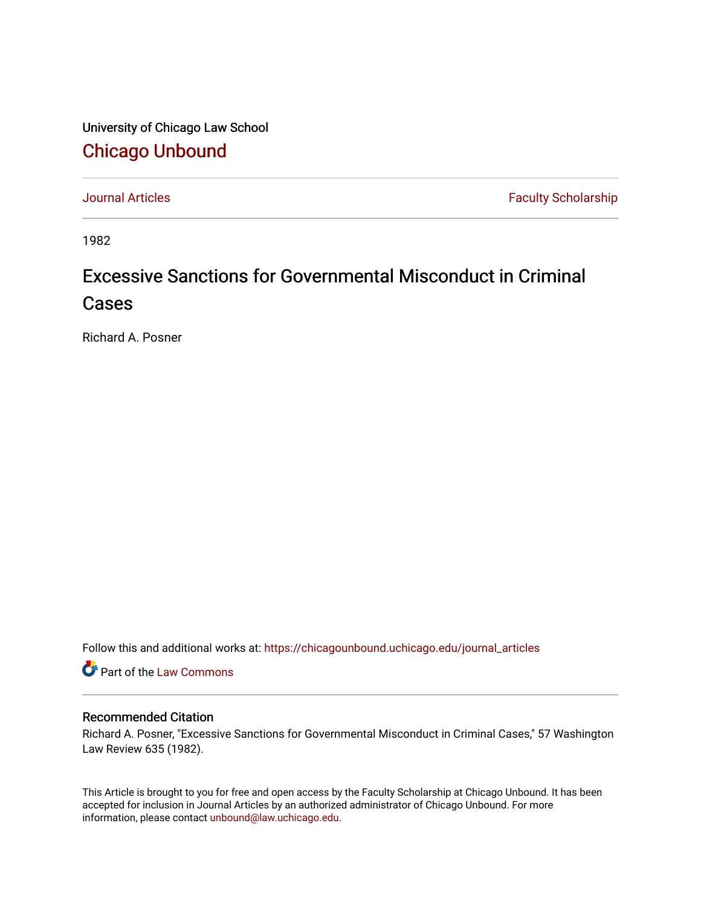University of Chicago Law School [Chicago Unbound](https://chicagounbound.uchicago.edu/)

[Journal Articles](https://chicagounbound.uchicago.edu/journal_articles) **Faculty Scholarship Faculty Scholarship** 

1982

# Excessive Sanctions for Governmental Misconduct in Criminal Cases

Richard A. Posner

Follow this and additional works at: [https://chicagounbound.uchicago.edu/journal\\_articles](https://chicagounbound.uchicago.edu/journal_articles?utm_source=chicagounbound.uchicago.edu%2Fjournal_articles%2F1909&utm_medium=PDF&utm_campaign=PDFCoverPages) 

Part of the [Law Commons](http://network.bepress.com/hgg/discipline/578?utm_source=chicagounbound.uchicago.edu%2Fjournal_articles%2F1909&utm_medium=PDF&utm_campaign=PDFCoverPages)

## Recommended Citation

Richard A. Posner, "Excessive Sanctions for Governmental Misconduct in Criminal Cases," 57 Washington Law Review 635 (1982).

This Article is brought to you for free and open access by the Faculty Scholarship at Chicago Unbound. It has been accepted for inclusion in Journal Articles by an authorized administrator of Chicago Unbound. For more information, please contact [unbound@law.uchicago.edu](mailto:unbound@law.uchicago.edu).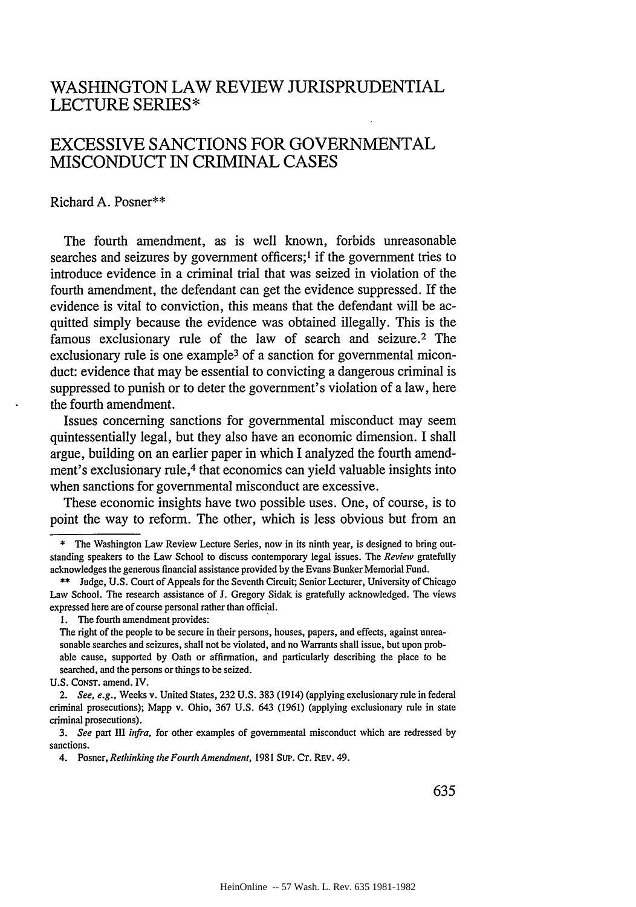# WASHINGTON LAW REVIEW JURISPRUDENTIAL LECTURE SERIES\*

# EXCESSIVE SANCTIONS FOR GOVERNMENTAL MISCONDUCT IN CRIMINAL CASES

Richard A. Posner\*\*

The fourth amendment, as is well known, forbids unreasonable searches and seizures by government officers;<sup>1</sup> if the government tries to introduce evidence in a criminal trial that was seized in violation of the fourth amendment, the defendant can get the evidence suppressed. If the evidence is vital to conviction, this means that the defendant will be acquitted simply because the evidence was obtained illegally. This is the famous exclusionary rule of the law of search and seizure.2 The exclusionary rule is one example<sup>3</sup> of a sanction for governmental miconduct: evidence that may be essential to convicting a dangerous criminal is suppressed to punish or to deter the government's violation of a law, here the fourth amendment.

Issues concerning sanctions for governmental misconduct may seem quintessentially legal, but they also have an economic dimension. I shall argue, building on an earlier paper in which I analyzed the fourth amendment's exclusionary rule,<sup>4</sup> that economics can yield valuable insights into when sanctions for governmental misconduct are excessive.

These economic insights have two possible uses. One, of course, is to point the way to reform. The other, which is less obvious but from an

U.S. CoNsr. amend. IV.

The Washington Law Review Lecture Series, now in its ninth year, is designed to bring outstanding speakers to the Law School to discuss contemporary legal issues. The *Review* gratefully acknowledges the generous financial assistance provided by the Evans Bunker Memorial Fund.

<sup>\*\*</sup> Judge, U.S. Court of Appeals for the Seventh Circuit; Senior Lecturer, University of Chicago Law School. The research assistance of J. Gregory Sidak is gratefully acknowledged. The views expressed here are of course personal rather than official.

<sup>1.</sup> The fourth amendment provides:

The right of the people to be secure in their persons, houses, papers, and effects, against unreasonable searches and seizures, shall not be violated, and no Warrants shall issue, but upon probable cause, supported by Oath or affirmation, and particularly describing the place to be searched, and the persons or things to be seized.

*<sup>2.</sup> See, e.g.,* Weeks v. United States, 232 U.S. 383 (1914) (applying exclusionary rule in federal criminal prosecutions); Mapp v. Ohio, 367 U.S. 643 (1961) (applying exclusionary rule in state criminal prosecutions).

*<sup>3.</sup> See* part III *infra,* for other examples of governmental misconduct which are redressed by sanctions.

<sup>4.</sup> Posner, *Rethinking the Fourth Amendment,* 1981 **SUP.** Cr. REv. 49.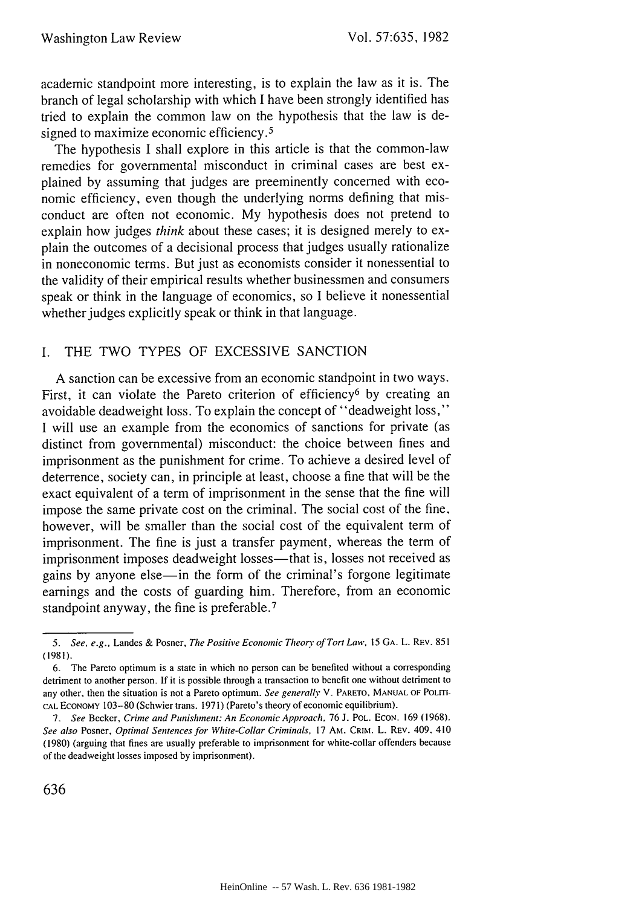academic standpoint more interesting, is to explain the law as it is. The branch of legal scholarship with which I have been strongly identified has tried to explain the common law on the hypothesis that the law is designed to maximize economic efficiency.<sup>5</sup>

The hypothesis I shall explore in this article is that the common-law remedies for governmental misconduct in criminal cases are best explained by assuming that judges are preeminently concerned with economic efficiency, even though the underlying norms defining that misconduct are often not economic. My hypothesis does not pretend to explain how judges *think* about these cases; it is designed merely to explain the outcomes of a decisional process that judges usually rationalize in noneconomic terms. But just as economists consider it nonessential to the validity of their empirical results whether businessmen and consumers speak or think in the language of economics, so I believe it nonessential whether judges explicitly speak or think in that language.

## I. THE TWO TYPES OF EXCESSIVE SANCTION

A sanction can be excessive from an economic standpoint in two ways. First, it can violate the Pareto criterion of efficiency<sup> $6$ </sup> by creating an avoidable deadweight loss. To explain the concept of "deadweight loss," I will use an example from the economics of sanctions for private (as distinct from governmental) misconduct: the choice between fines and imprisonment as the punishment for crime. To achieve a desired level of deterrence, society can, in principle at least, choose a fine that will be the exact equivalent of a term of imprisonment in the sense that the fine will impose the same private cost on the criminal. The social cost of the fine, however, will be smaller than the social cost of the equivalent term of imprisonment. The fine is just a transfer payment, whereas the term of imprisonment imposes deadweight losses—that is, losses not received as gains by anyone else—in the form of the criminal's forgone legitimate earnings and the costs of guarding him. Therefore, from an economic standpoint anyway, the fine is preferable. <sup>7</sup>

<sup>5.</sup> See, e.g., Landes & Posner, The Positive Economic Theory of *Tort* Law, 15 **GA.** L. REV. 851 (1981).

<sup>6.</sup> The Pareto optimum is a state in which no person can be benefited without a corresponding detriment to another person. If it is possible through a transaction to benefit one without detriment to any other, then the situation is not a Pareto optimum. See generally V. PARETO, **MANUAL** OF POLITI-**CAL** ECONOMY 103-80 (Schwier trans. 1971) (Pareto's theory of economic equilibrium).

*<sup>7.</sup>* See Becker, Crime and Punishment: An Economic Approach, 76 J. POL. ECON. 169 (1968). See also Posner, Optimal Sentences for White-Collar Criminals, 17 AM. CRIM. L. REV. 409, 410 (1980) (arguing that fines are usually preferable to imprisonment for white-collar offenders because of the deadweight losses imposed by imprisonment).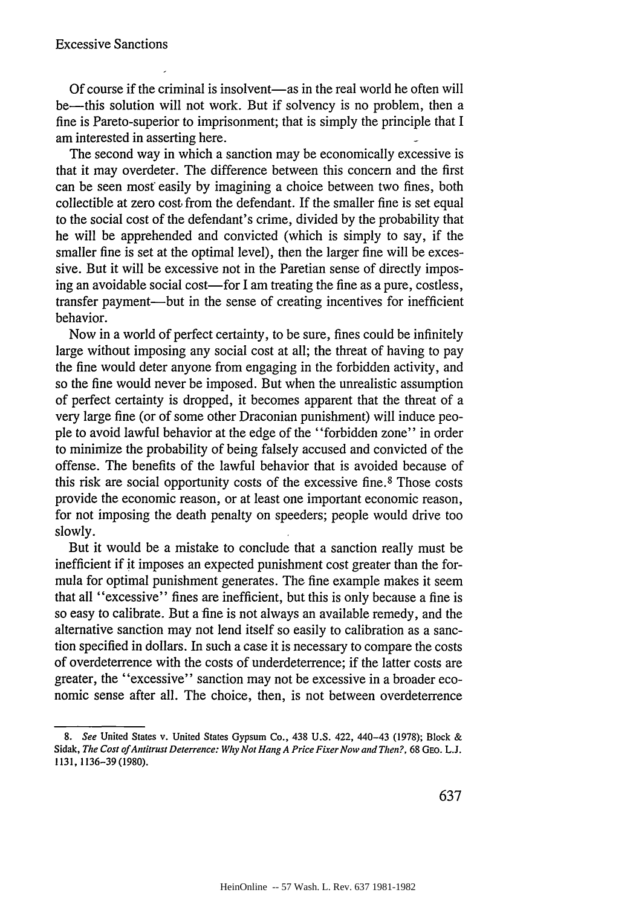#### Excessive Sanctions

Of course if the criminal is insolvent—as in the real world he often will be-this solution will not work. But if solvency is no problem, then a fine is Pareto-superior to imprisonment; that is simply the principle that I am interested in asserting here.

The second way in which a sanction may be economically excessive is that it may overdeter. The difference between this concern and the first can be seen most easily by imagining a choice between two fines, both collectible at zero cost from the defendant. If the smaller fine is set equal to the social cost of the defendant's crime, divided by the probability that he will be apprehended and convicted (which is simply to say, if the smaller fine is set at the optimal level), then the larger fine will be excessive. But it will be excessive not in the Paretian sense of directly imposing an avoidable social cost—for I am treating the fine as a pure, costless, transfer payment-but in the sense of creating incentives for inefficient behavior.

Now in a world of perfect certainty, to be sure, fines could be infinitely large without imposing any social cost at all; the threat of having to pay the fine would deter anyone from engaging in the forbidden activity, and so the fine would never be imposed. But when the unrealistic assumption of perfect certainty is dropped, it becomes apparent that the threat of a very large fine (or of some other Draconian punishment) will induce people to avoid lawful behavior at the edge of the "forbidden zone" in order to minimize the probability of being falsely accused and convicted of the offense. The benefits of the lawful behavior that is avoided because of this risk are social opportunity costs of the excessive fine. 8 Those costs provide the economic reason, or at least one important economic reason, for not imposing the death penalty on speeders; people would drive too slowly.

But it would be a mistake to conclude that a sanction really must be inefficient if it imposes an expected punishment cost greater than the formula for optimal punishment generates. The fine example makes it seem that all "excessive" fines are inefficient, but this is only because a fine is so easy to calibrate. But a fine is not always an available remedy, and the alternative sanction may not lend itself so easily to calibration as a sanction specified in dollars. In such a case it is necessary to compare the costs of overdeterrence with the costs of underdeterrence; if the latter costs are greater, the "excessive" sanction may not be excessive in a broader economic sense after all. The choice, then, is not between overdeterrence

*<sup>8.</sup> See* United States v. United States Gypsum Co., 438 **U.S.** 422, 440-43 **(1978);** Block **&** Sidak, *The Cost ofAntitrust Deterrence: Why Not Hang A Price Fixer Now and Then?,* **68** GEO. **L.J. 1131, 1136-39 (1980).**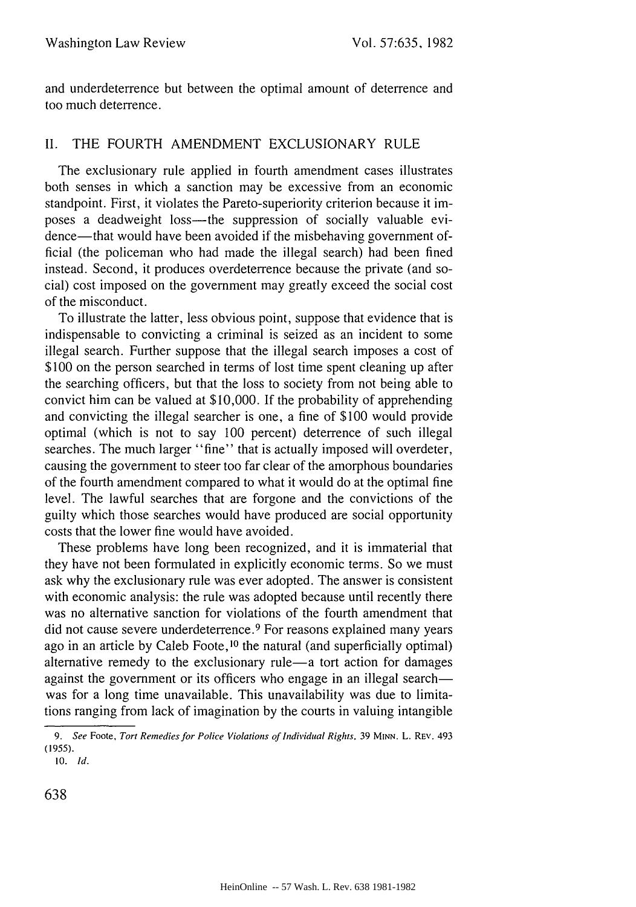and underdeterrence but between the optimal amount of deterrence and too much deterrence.

## **1I.** THE FOURTH AMENDMENT EXCLUSIONARY RULE

The exclusionary rule applied in fourth amendment cases illustrates both senses in which a sanction may be excessive from an economic standpoint. First, it violates the Pareto-superiority criterion because it imposes a deadweight loss—the suppression of socially valuable evidence—that would have been avoided if the misbehaving government official (the policeman who had made the illegal search) had been fined instead. Second, it produces overdeterrence because the private (and social) cost imposed on the government may greatly exceed the social cost of the misconduct.

To illustrate the latter, less obvious point, suppose that evidence that is indispensable to convicting a criminal is seized as an incident to some illegal search. Further suppose that the illegal search imposes a cost of \$100 on the person searched in terms of lost time spent cleaning up after the searching officers, but that the loss to society from not being able to convict him can be valued at \$10,000. If the probability of apprehending and convicting the illegal searcher is one, a fine of \$100 would provide optimal (which is not to say 100 percent) deterrence of such illegal searches. The much larger "fine" that is actually imposed will overdeter, causing the government to steer too far clear of the amorphous boundaries of the fourth amendment compared to what it would do at the optimal fine level. The lawful searches that are forgone and the convictions of the guilty which those searches would have produced are social opportunity costs that the lower fine would have avoided.

These problems have long been recognized, and it is immaterial that they have not been formulated in explicitly economic terms. So we must ask why the exclusionary rule was ever adopted. The answer is consistent with economic analysis: the rule was adopted because until recently there was no alternative sanction for violations of the fourth amendment that did not cause severe underdeterrence. 9 For reasons explained many years ago in an article by Caleb Foote, <sup>10</sup> the natural (and superficially optimal) alternative remedy to the exclusionary rule—a tort action for damages against the government or its officers who engage in an illegal search was for a long time unavailable. This unavailability was due to limitations ranging from lack of imagination by the courts in valuing intangible

<sup>9.</sup> See Foote, Tort Remedies for Police Violations of Individual Rights, 39 **MINN.** L. REV. 493 (1955).

**<sup>10.</sup>** *Id.*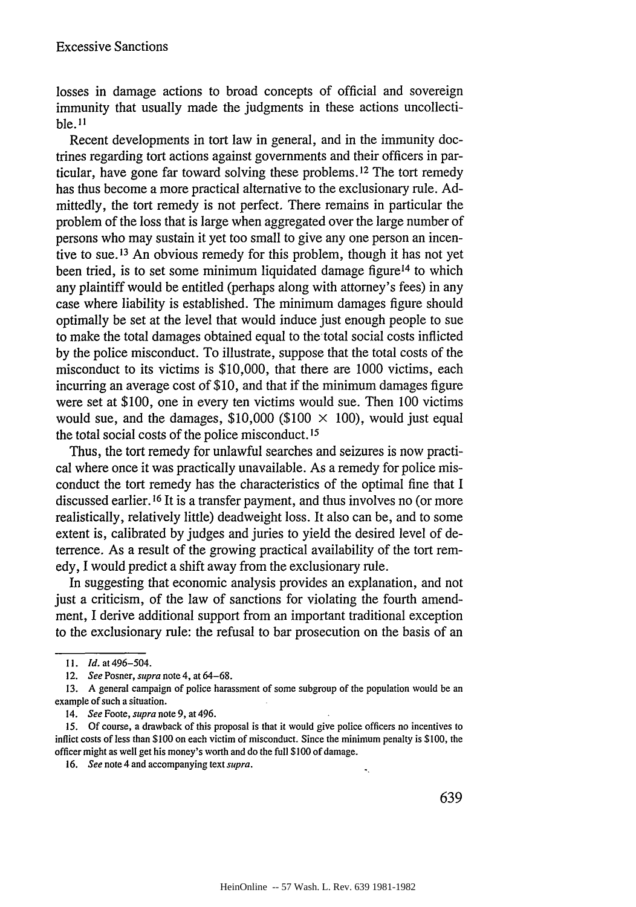losses in damage actions to broad concepts of official and sovereign immunity that usually made the judgments in these actions uncollecti $h$ le. $<sup>11</sup>$ </sup>

Recent developments in tort law in general, and in the immunity doctrines regarding tort actions against governments and their officers in particular, have gone far toward solving these problems. 1 2 The tort remedy has thus become a more practical alternative to the exclusionary rule. Admittedly, the tort remedy is not perfect. There remains in particular the problem of the loss that is large when aggregated over the large number of persons who may sustain it yet too small to give any one person an incentive to sue. **1 <sup>3</sup>**An obvious remedy for this problem, though it has not yet been tried, is to set some minimum liquidated damage figure<sup>14</sup> to which any plaintiff would be entitled (perhaps along with attorney's fees) in any case where liability is established. The minimum damages figure should optimally be set at the level that would induce just enough people to sue to make the total damages obtained equal to the total social costs inflicted by the police misconduct. To illustrate, suppose that the total costs of the misconduct to its victims is \$10,000, that there are 1000 victims, each incurring an average cost of \$10, and that if the minimum damages figure were set at \$100, one in every ten victims would sue. Then 100 victims would sue, and the damages,  $$10,000$  ( $$100 \times 100$ ), would just equal the total social costs of the police misconduct.<sup>15</sup>

Thus, the tort remedy for unlawful searches and seizures is now practical where once it was practically unavailable. As a remedy for police misconduct the tort remedy has the characteristics of the optimal fine that I discussed earlier. **1 <sup>6</sup>**It is a transfer payment, and thus involves no (or more realistically, relatively little) deadweight loss. It also can be, and to some extent is, calibrated by judges and juries to yield the desired level of deterrence. As a result of the growing practical availability of the tort remedy, I would predict a shift away from the exclusionary rule.

In suggesting that economic analysis provides an explanation, and not just a criticism, of the law of sanctions for violating the fourth amendment, I derive additional support from an important traditional exception to the exclusionary rule: the refusal to bar prosecution on the basis of an

14. *See* Foote, *supra* note 9, at 496.

*16. See* note 4 and accompanying text *supra.*

 $\bullet$ 

*I1. Id.* at 496-504.

*<sup>12.</sup> See* Posner, *supra* note 4, at 64-68.

<sup>13.</sup> A general campaign of police harassment of some subgroup of the population would be an example of such a situation.

*<sup>15.</sup>* Of course, a drawback of this proposal is that it would give police officers no incentives to inflict costs of less than \$100 on each victim of misconduct. Since the minimum penalty is \$100, the officer might as well get his money's worth and do the full \$100 of damage.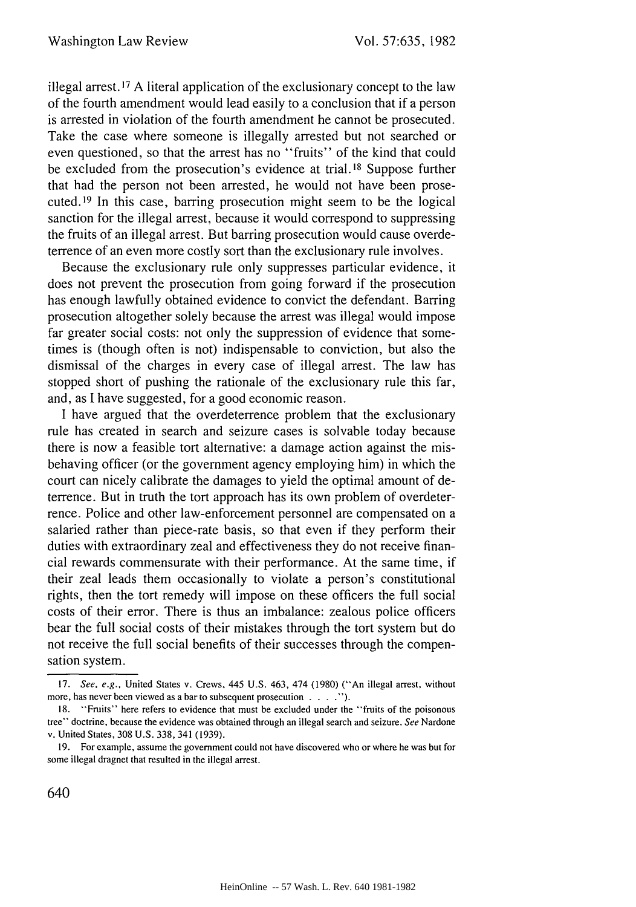illegal arrest. **<sup>1</sup> <sup>7</sup>**A literal application of the exclusionary concept to the law of the fourth amendment would lead easily to a conclusion that if a person is arrested in violation of the fourth amendment he cannot be prosecuted. Take the case where someone is illegally arrested but not searched or even questioned, so that the arrest has no "fruits" of the kind that could be excluded from the prosecution's evidence at trial.<sup>18</sup> Suppose further that had the person not been arrested, he would not have been prosecuted. 19 In this case, barring prosecution might seem to be the logical sanction for the illegal arrest, because it would correspond to suppressing the fruits of an illegal arrest. But barring prosecution would cause overdeterrence of an even more costly sort than the exclusionary rule involves.

Because the exclusionary rule only suppresses particular evidence, it does not prevent the prosecution from going forward if the prosecution has enough lawfully obtained evidence to convict the defendant. Barring prosecution altogether solely because the arrest was illegal would impose far greater social costs: not only the suppression of evidence that sometimes is (though often is not) indispensable to conviction, but also the dismissal of the charges in every case of illegal arrest. The law has stopped short of pushing the rationale of the exclusionary rule this far, and, as I have suggested, for a good economic reason.

I have argued that the overdeterrence problem that the exclusionary rule has created in search and seizure cases is solvable today because there is now a feasible tort alternative: a damage action against the misbehaving officer (or the government agency employing him) in which the court can nicely calibrate the damages to yield the optimal amount of deterrence. But in truth the tort approach has its own problem of overdeterrence. Police and other law-enforcement personnel are compensated on a salaried rather than piece-rate basis, so that even if they perform their duties with extraordinary zeal and effectiveness they do not receive financial rewards commensurate with their performance. At the same time, if their zeal leads them occasionally to violate a person's constitutional rights, then the tort remedy will impose on these officers the full social costs of their error. There is thus an imbalance: zealous police officers bear the full social costs of their mistakes through the tort system but do not receive the full social benefits of their successes through the compensation system.

<sup>17.</sup> See, e.g., United States v. Crews, 445 U.S. 463, 474 (1980) ("An illegal arrest, without more, has never been viewed as a bar to subsequent prosecution **.... ").**

<sup>18. &</sup>quot;Fruits" here refers to evidence that must be excluded under the "fruits of the poisonous tree" doctrine, because the evidence was obtained through an illegal search and seizure. See Nardone v. United States, 308 U.S. 338, 341 (1939).

<sup>19.</sup> For example, assume the government could not have discovered who or where he was but for some illegal dragnet that resulted in the illegal arrest.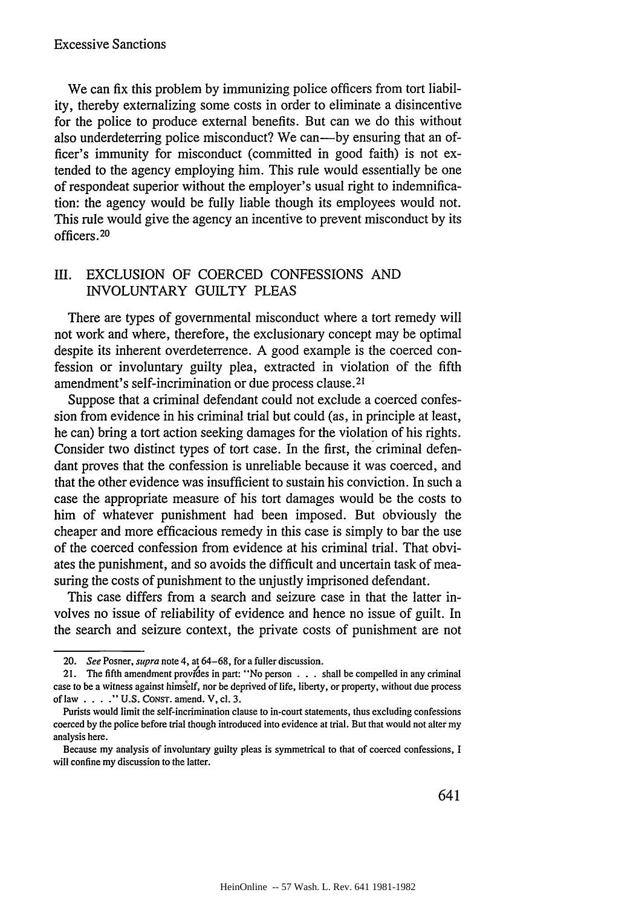We can fix this problem by immunizing police officers from tort liability, thereby externalizing some costs in order to eliminate a disincentive for the police to produce external benefits. But can we do this without also underdeterring police misconduct? We can—by ensuring that an officer's immunity for misconduct (committed in good faith) is not extended to the agency employing him. This rule would essentially be one of respondeat superior without the employer's usual right to indemnification: the agency would be fully liable though its employees would not. This rule would give the agency an incentive to prevent misconduct by its officers.20

## III. EXCLUSION OF COERCED CONFESSIONS AND INVOLUNTARY GUILTY PLEAS

There are types of governmental misconduct where a tort remedy will not work and where, therefore, the exclusionary concept may be optimal despite its inherent overdeterrence. A good example is the coerced confession or involuntary guilty plea, extracted in violation of the fifth amendment's self-incrimination or due process clause. <sup>21</sup>

Suppose that a criminal defendant could not exclude a coerced confession from evidence in his criminal trial but could (as, in principle at least, he can) bring a tort action seeking damages for the violation of his rights. Consider two distinct types of tort case. In the first, the criminal defendant proves that the confession is unreliable because it was coerced, and that the other evidence was insufficient to sustain his conviction. In such a case the appropriate measure of his tort damages would be the costs to him of whatever punishment had been imposed. But obviously the cheaper and more efficacious remedy in this case is simply to bar the use of the coerced confession from evidence at his criminal trial. That obviates the punishment, and so avoids the difficult and uncertain task of measuring the costs of punishment to the unjustly imprisoned defendant.

This case differs from a search and seizure case in that the latter involves no issue of reliability of evidence and hence no issue of guilt. In the search and seizure context, the private costs of punishment are not

<sup>20.</sup> See Posner, supra note 4, at **64-68,** for a fuller discussion.

<sup>21.</sup> The **fifth** amendment prov/des in part: "No person . **.** . shall be compelled in any criminal case to be a witness against himself, nor be deprived of life, liberty, or property, without due process of law **.... ." U.S.** CONsT. amend. V, cl. **3.**

Purists would limit the self-incrimination clause to in-court statements, thus excluding confessions coerced **by** the police before trial though introduced into evidence at trial. But that would not alter my analysis here.

Because my analysis of involuntary guilty pleas is symmetrical to that of coerced confessions, I will confine my discussion to the latter.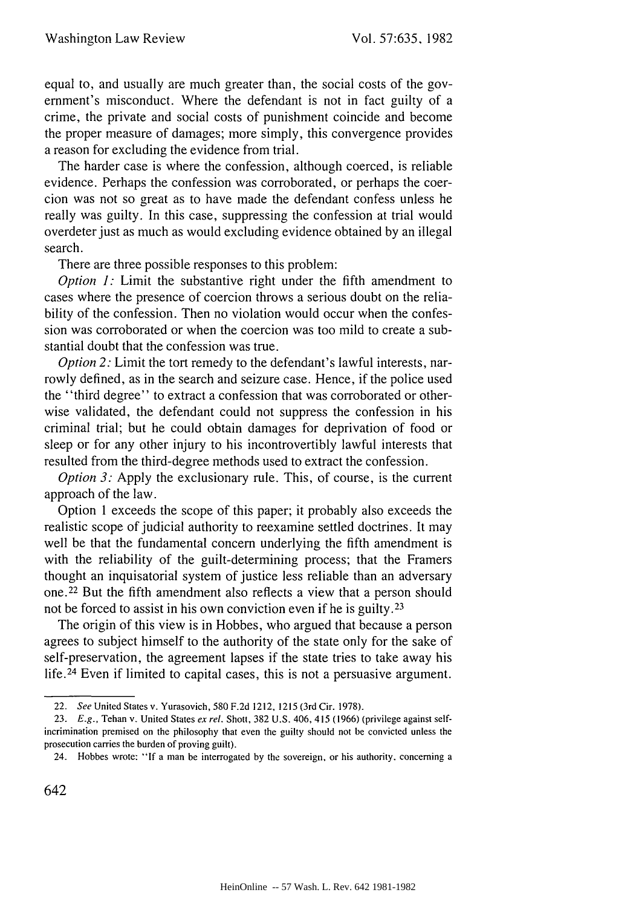equal to, and usually are much greater than, the social costs of the government's misconduct. Where the defendant is not in fact guilty of a crime, the private and social costs of punishment coincide and become the proper measure of damages; more simply, this convergence provides a reason for excluding the evidence from trial.

The harder case is where the confession, although coerced, is reliable evidence. Perhaps the confession was corroborated, or perhaps the coercion was not so great as to have made the defendant confess unless he really was guilty. In this case, suppressing the confession at trial would overdeter just as much as would excluding evidence obtained by an illegal search.

There are three possible responses to this problem:

*Option 1:* Limit the substantive right under the fifth amendment to cases where the presence of coercion throws a serious doubt on the reliability of the confession. Then no violation would occur when the confession was corroborated or when the coercion was too mild to create a substantial doubt that the confession was true.

*Option 2:* Limit the tort remedy to the defendant's lawful interests, narrowly defined, as in the search and seizure case. Hence, if the police used the "third degree" to extract a confession that was corroborated or otherwise validated, the defendant could not suppress the confession in his criminal trial; but he could obtain damages for deprivation of food or sleep or for any other injury to his incontrovertibly lawful interests that resulted from the third-degree methods used to extract the confession.

*Option 3:* Apply the exclusionary rule. This, of course, is the current approach of the law.

Option 1 exceeds the scope of this paper; it probably also exceeds the realistic scope of judicial authority to reexamine settled doctrines. It may well be that the fundamental concern underlying the fifth amendment is with the reliability of the guilt-determining process; that the Framers thought an inquisatorial system of justice less reliable than an adversary one. 22 But the fifth amendment also reflects a view that a person should not be forced to assist in his own conviction even if he is guilty.<sup>23</sup>

The origin of this view is in Hobbes, who argued that because a person agrees to subject himself to the authority of the state only for the sake of self-preservation, the agreement lapses if the state tries to take away his life. 24 Even if limited to capital cases, this is not a persuasive argument.

<sup>22.</sup> See United States v. Yurasovich, 580 F.2d 1212, 1215 (3rd Cir. 1978).

<sup>23.</sup> E.g., Tehan v. United States ex rel. Shott, 382 U.S. 406, 415 (1966) (privilege against selfincrimination premised on the philosophy that even the guilty should not be convicted unless the prosecution carries the burden of proving guilt).

<sup>24.</sup> Hobbes wrote: **"If** a man be interrogated by the sovereign, or his authority, concerning a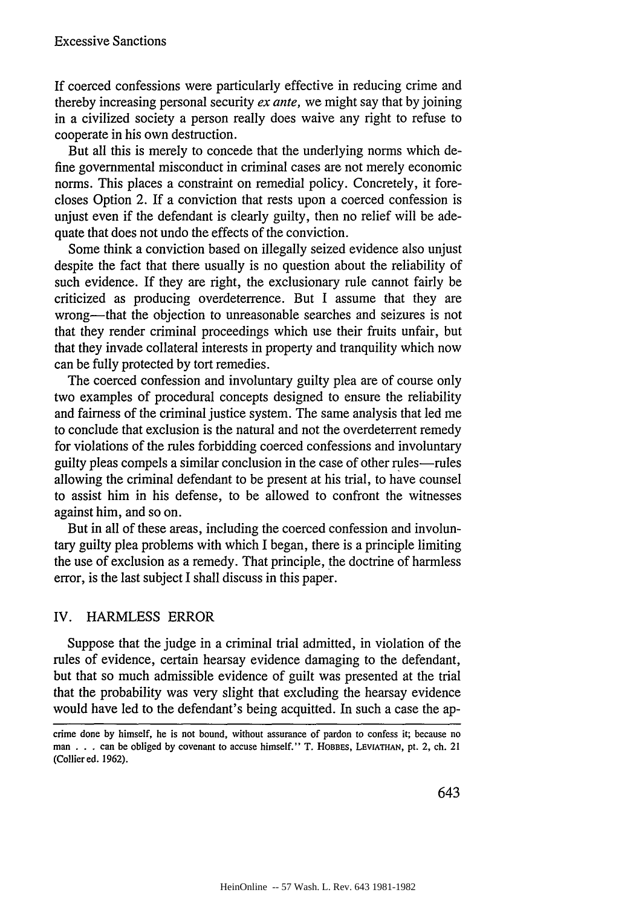If coerced confessions were particularly effective in reducing crime and thereby increasing personal security *ex ante,* we might say that by joining in a civilized society a person really does waive any right to refuse to cooperate in his own destruction.

But all this is merely to concede that the underlying norms which define governmental misconduct in criminal cases are not merely economic norms. This places a constraint on remedial policy. Concretely, it forecloses Option 2. If a conviction that rests upon a coerced confession is unjust even if the defendant is clearly guilty, then no relief will be adequate that does not undo the effects of the conviction.

Some think a conviction based on illegally seized evidence also unjust despite the fact that there usually is no question about the reliability of such evidence. If they are right, the exclusionary rule cannot fairly be criticized as producing overdeterrence. But I assume that they are wrong—that the objection to unreasonable searches and seizures is not that they render criminal proceedings which use their fruits unfair, but that they invade collateral interests in property and tranquility which now can be fully protected by tort remedies.

The coerced confession and involuntary guilty plea are of course only two examples of procedural concepts designed to ensure the reliability and fairness of the criminal justice system. The same analysis that led me to conclude that exclusion is the natural and not the overdeterrent remedy for violations of the rules forbidding coerced confessions and involuntary guilty pleas compels a similar conclusion in the case of other rules-rules allowing the criminal defendant to be present at his trial, to have counsel to assist him in his defense, to be allowed to confront the witnesses against him, and so on.

But in all of these areas, including the coerced confession and involuntary guilty plea problems with which I began, there is a principle limiting the use of exclusion as a remedy. That principle, the doctrine of harmless error, is the last subject I shall discuss in this paper.

## IV. HARMLESS ERROR

Suppose that the judge in a criminal trial admitted, in violation of the rules of evidence, certain hearsay evidence damaging to the defendant, but that so much admissible evidence of guilt was presented at the trial that the probability was very slight that excluding the hearsay evidence would have led to the defendant's being acquitted. In such a case the ap-

crime done **by** himself, he is not bound, without assurance of pardon to confess it; because no man . . . can be obliged by covenant to accuse himself." T. HOBBES, LEVIATHAN, pt. 2, ch. 21 (Collier ed. **1962).**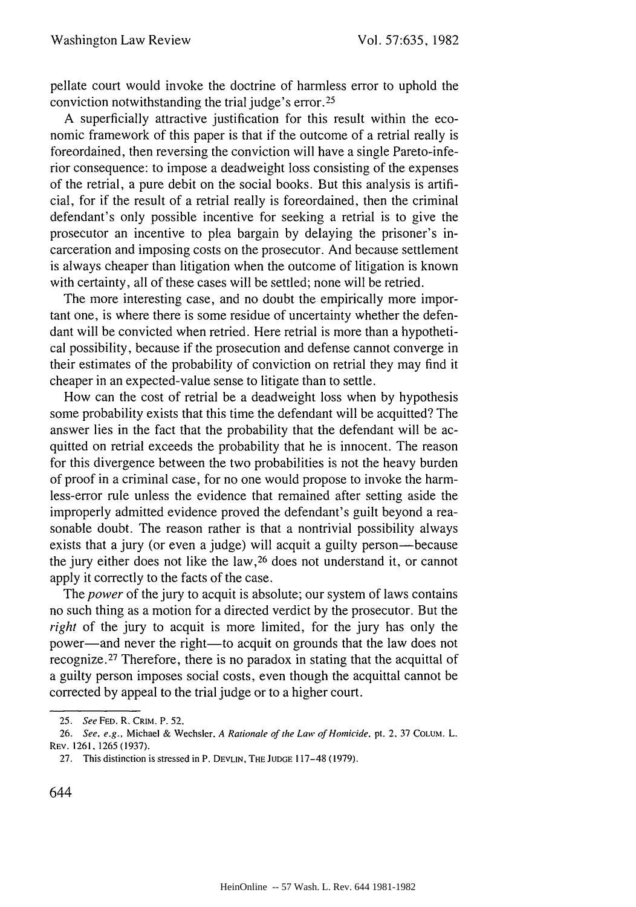pellate court would invoke the doctrine of harmless error to uphold the conviction notwithstanding the trial judge's error.<sup>25</sup>

A superficially attractive justification for this result within the economic framework of this paper is that if the outcome of a retrial really is foreordained, then reversing the conviction will have a single Pareto-inferior consequence: to impose a deadweight loss consisting of the expenses of the retrial, a pure debit on the social books. But this analysis is artificial, for if the result of a retrial really is foreordained, then the criminal defendant's only possible incentive for seeking a retrial is to give the prosecutor an incentive to plea bargain by delaying the prisoner's incarceration and imposing costs on the prosecutor. And because settlement is always cheaper than litigation when the outcome of litigation is known with certainty, all of these cases will be settled; none will be retried.

The more interesting case, and no doubt the empirically more important one, is where there is some residue of uncertainty whether the defendant will be convicted when retried. Here retrial is more than a hypothetical possibility, because if the prosecution and defense cannot converge in their estimates of the probability of conviction on retrial they may find it cheaper in an expected-value sense to litigate than to settle.

How can the cost of retrial be a deadweight loss when by hypothesis some probability exists that this time the defendant will be acquitted? The answer lies in the fact that the probability that the defendant will be acquitted on retrial exceeds the probability that he is innocent. The reason for this divergence between the two probabilities is not the heavy burden of proof in a criminal case, for no one would propose to invoke the harmless-error rule unless the evidence that remained after setting aside the improperly admitted evidence proved the defendant's guilt beyond a reasonable doubt. The reason rather is that a nontrivial possibility always exists that a jury (or even a judge) will acquit a guilty person—because the jury either does not like the law, 26 does not understand it, or cannot apply it correctly to the facts of the case.

The *power* of the jury to acquit is absolute; our system of laws contains no such thing as a motion for a directed verdict by the prosecutor. But the *right* of the jury to acquit is more limited, for the jury has only the power—and never the right—to acquit on grounds that the law does not recognize. 27 Therefore, there is no paradox in stating that the acquittal of a guilty person imposes social costs, even though the acquittal cannot be corrected by appeal to the trial judge or to a higher court.

**<sup>25.</sup>** *See* **FED.** *R.* CRIM. P. 52.

**<sup>26.</sup>** See, e.g., Michael **&** Wechsler, A Rationale oftthe *Law of Homicide,* pt. 2. **37 COLUM.** L. **REV.** 1261, 1265(1937).

<sup>27.</sup> This distinction is stressed in P. **DEVLIN, THE JUDGE** 117-48 (1979).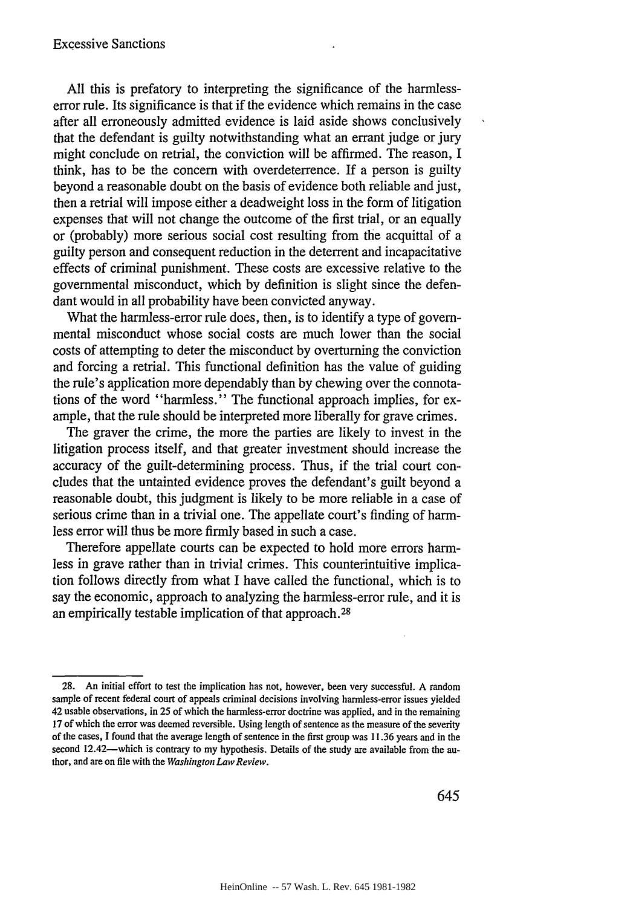All this is prefatory to interpreting the significance of the harmlesserror rule. Its significance is that if the evidence which remains in the case after all erroneously admitted evidence is laid aside shows conclusively that the defendant is guilty notwithstanding what an errant judge or jury might conclude on retrial, the conviction will be affirmed. The reason, I think, has to be the concern with overdeterrence. If a person is guilty beyond a reasonable doubt on the basis of evidence both reliable and just, then a retrial will impose either a deadweight loss in the form of litigation expenses that will not change the outcome of the first trial, or an equally or (probably) more serious social cost resulting from the acquittal of a guilty person and consequent reduction in the deterrent and incapacitative effects of criminal punishment. These costs are excessive relative to the governmental misconduct, which by definition is slight since the defendant would in all probability have been convicted anyway.

What the harmless-error rule does, then, is to identify a type of governmental misconduct whose social costs are much lower than the social costs of attempting to deter the misconduct by overturning the conviction and forcing a retrial. This functional definition has the value of guiding the rule's application more dependably than by chewing over the connotations of the word "harmless." The functional approach implies, for example, that the rule should be interpreted more liberally for grave crimes.

The graver the crime, the more the parties are likely to invest in the litigation process itself, and that greater investment should increase the accuracy of the guilt-determining process. Thus, if the trial court concludes that the untainted evidence proves the defendant's guilt beyond a reasonable doubt, this judgment is likely to be more reliable in a case of serious crime than in a trivial one. The appellate court's finding of harmless error will thus be more firmly based in such a case.

Therefore appellate courts can be expected to hold more errors harmless in grave rather than in trivial crimes. This counterintuitive implication follows directly from what I have called the functional, which is to say the economic, approach to analyzing the harmless-error rule, and it is an empirically testable implication of that approach. <sup>28</sup>

**<sup>28.</sup>** An initial effort to test the implication has not, however, been very successful. **A** random sample of recent federal court of appeals criminal decisions involving harmless-error issues yielded 42 usable observations, in **25** of which the harmless-error doctrine was applied, and in the remaining **17** of which the error was deemed reversible. Using length of sentence as the measure of the severity of the cases, **I** found that the average length of sentence in the **first** group was **11.36** years and in the second 12.42—which is contrary to my hypothesis. Details of the study are available from the author, **and** are **on file** with the *Washington Law Review.*